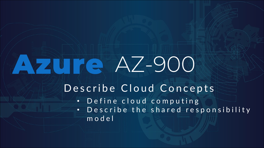# AZUTE AZ-900

### Describe Cloud Concepts

• Define cloud computing

• Describe the shared responsibility m o d e l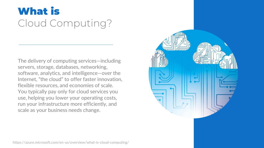### **What is** Cloud Computing?

The delivery of computing services—including servers, storage, databases, networking, software, analytics, and intelligence—over the Internet, "the cloud" to offer faster innovation, flexible resources, and economies of scale. You typically pay only for cloud services you use, helping you lower your operating costs, run your infrastructure more efficiently, and scale as your business needs change.



https://azure.microsoft.com/en-us/overview/what-is-cloud-computing/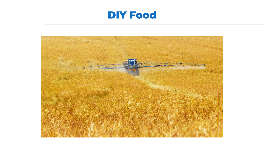### **DIY Food**

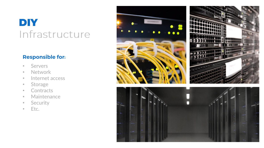### DIY Infrastructure

#### **Responsible for:**

- Servers
- Network
- Internet access
- Storage
- Contracts
- Maintenance
- Security
- Etc.

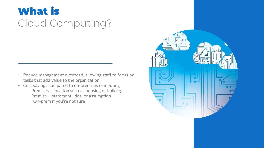## **What is** Cloud Computing?

- Reduce management overhead, allowing staff to focus on tasks that add value to the organization
- Cost savings compared to on-premises computing Premises – location such as housing or building Premise – statement, idea, or assumption \*On-prem if you're not sure

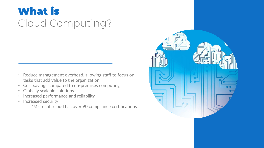## **What is** Cloud Computing?

- Reduce management overhead, allowing staff to focus on tasks that add value to the organization
- Cost savings compared to on-premises computing
- Globally scalable solutions
- Increased performance and reliability
- Increased security

\*Microsoft cloud has over 90 compliance certifications

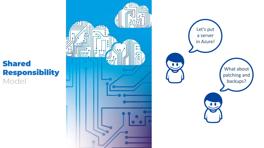

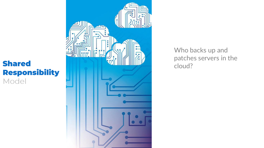

Who backs up and patches servers in the cloud?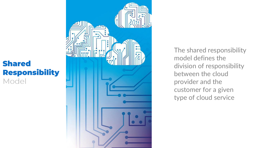

The shared responsibility model defines the division of responsibility between the cloud provider and the customer for a given type of cloud service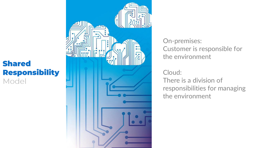

On-premises: Customer is responsible for the environment

Cloud: There is a division of responsibilities for managing the environment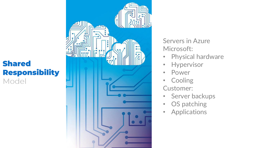

Servers in Azure Microsoft:

- Physical hardware
- Hypervisor
- Power
- Cooling Customer:
- Server backups
- OS patching
- Applications